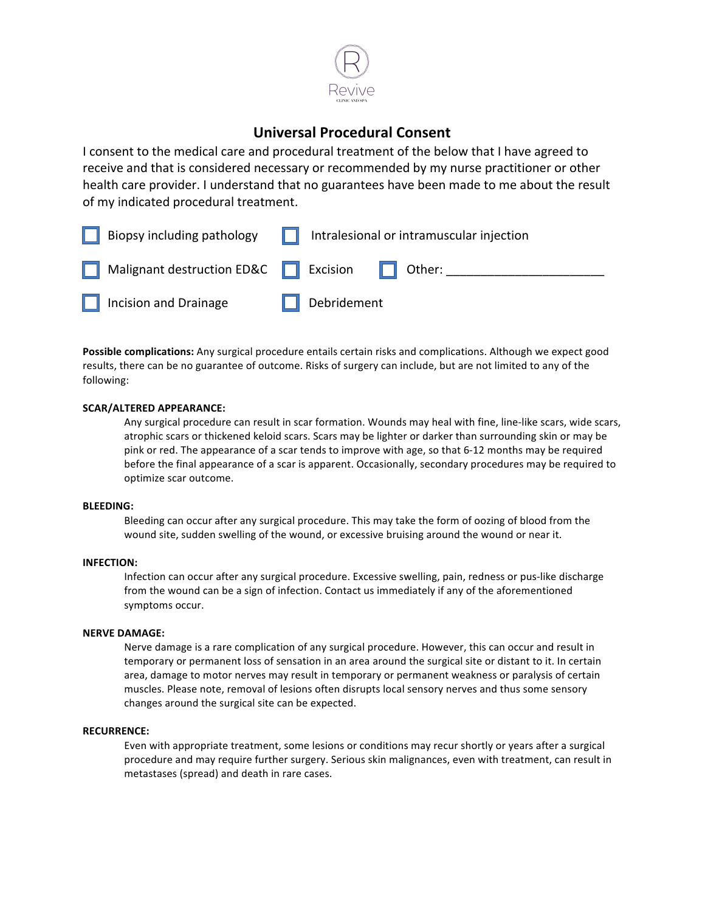

# **Universal Procedural Consent**

I consent to the medical care and procedural treatment of the below that I have agreed to receive and that is considered necessary or recommended by my nurse practitioner or other health care provider. I understand that no guarantees have been made to me about the result of my indicated procedural treatment.

| $\Box$ Biopsy including pathology                       | Intralesional or intramuscular injection<br>. . |
|---------------------------------------------------------|-------------------------------------------------|
| Malignant destruction ED&C <b>F</b> Excision For Other: |                                                 |
| $\Box$ Incision and Drainage                            | Debridement                                     |

**Possible complications:** Any surgical procedure entails certain risks and complications. Although we expect good results, there can be no guarantee of outcome. Risks of surgery can include, but are not limited to any of the following:

## **SCAR/ALTERED APPEARANCE:**

Any surgical procedure can result in scar formation. Wounds may heal with fine, line-like scars, wide scars, atrophic scars or thickened keloid scars. Scars may be lighter or darker than surrounding skin or may be pink or red. The appearance of a scar tends to improve with age, so that 6-12 months may be required before the final appearance of a scar is apparent. Occasionally, secondary procedures may be required to optimize scar outcome.

#### **BLEEDING:**

Bleeding can occur after any surgical procedure. This may take the form of oozing of blood from the wound site, sudden swelling of the wound, or excessive bruising around the wound or near it.

## **INFECTION:**

Infection can occur after any surgical procedure. Excessive swelling, pain, redness or pus-like discharge from the wound can be a sign of infection. Contact us immediately if any of the aforementioned symptoms occur.

#### **NERVE DAMAGE:**

Nerve damage is a rare complication of any surgical procedure. However, this can occur and result in temporary or permanent loss of sensation in an area around the surgical site or distant to it. In certain area, damage to motor nerves may result in temporary or permanent weakness or paralysis of certain muscles. Please note, removal of lesions often disrupts local sensory nerves and thus some sensory changes around the surgical site can be expected.

#### **RECURRENCE:**

Even with appropriate treatment, some lesions or conditions may recur shortly or years after a surgical procedure and may require further surgery. Serious skin malignances, even with treatment, can result in metastases (spread) and death in rare cases.